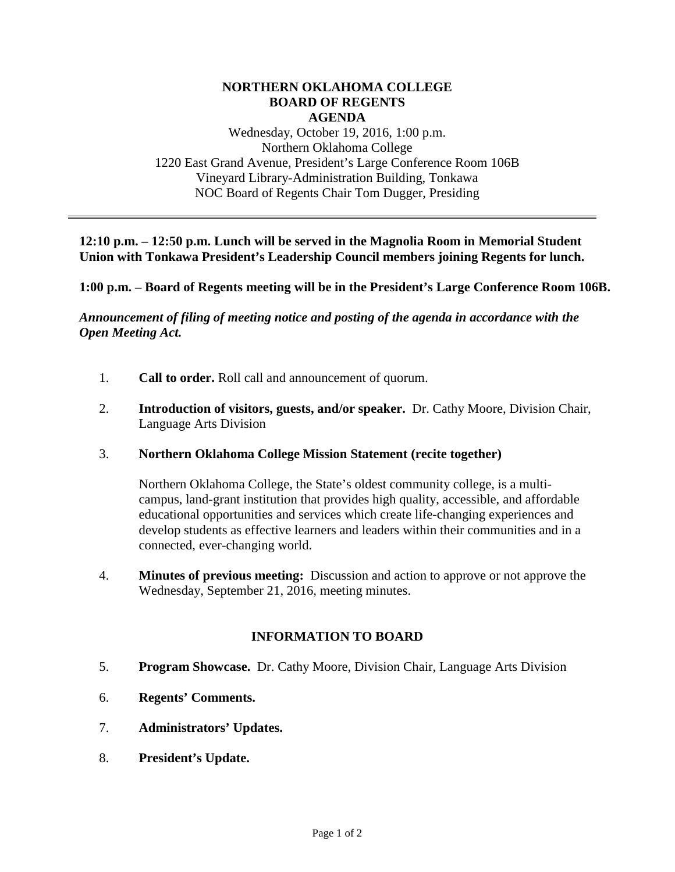#### **NORTHERN OKLAHOMA COLLEGE BOARD OF REGENTS AGENDA**

Wednesday, October 19, 2016, 1:00 p.m. Northern Oklahoma College 1220 East Grand Avenue, President's Large Conference Room 106B Vineyard Library-Administration Building, Tonkawa NOC Board of Regents Chair Tom Dugger, Presiding

**12:10 p.m. – 12:50 p.m. Lunch will be served in the Magnolia Room in Memorial Student Union with Tonkawa President's Leadership Council members joining Regents for lunch.**

**1:00 p.m. – Board of Regents meeting will be in the President's Large Conference Room 106B.**

*Announcement of filing of meeting notice and posting of the agenda in accordance with the Open Meeting Act.*

- 1. **Call to order.** Roll call and announcement of quorum.
- 2. **Introduction of visitors, guests, and/or speaker.** Dr. Cathy Moore, Division Chair, Language Arts Division
- 3. **Northern Oklahoma College Mission Statement (recite together)**

Northern Oklahoma College, the State's oldest community college, is a multicampus, land-grant institution that provides high quality, accessible, and affordable educational opportunities and services which create life-changing experiences and develop students as effective learners and leaders within their communities and in a connected, ever-changing world.

4. **Minutes of previous meeting:** Discussion and action to approve or not approve the Wednesday, September 21, 2016, meeting minutes.

### **INFORMATION TO BOARD**

- 5. **Program Showcase.** Dr. Cathy Moore, Division Chair, Language Arts Division
- 6. **Regents' Comments.**
- 7. **Administrators' Updates.**
- 8. **President's Update.**